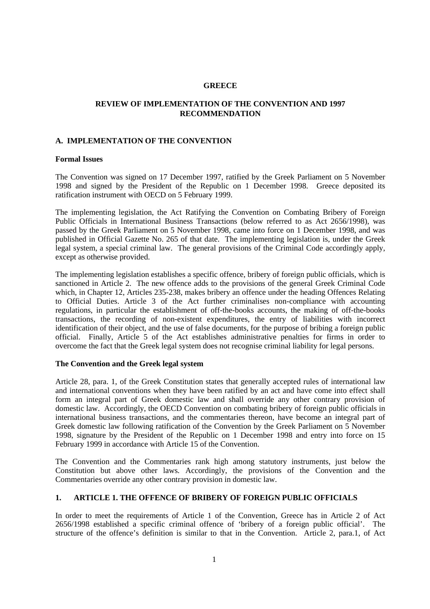#### **GREECE**

# **REVIEW OF IMPLEMENTATION OF THE CONVENTION AND 1997 RECOMMENDATION**

#### **A. IMPLEMENTATION OF THE CONVENTION**

#### **Formal Issues**

The Convention was signed on 17 December 1997, ratified by the Greek Parliament on 5 November 1998 and signed by the President of the Republic on 1 December 1998. Greece deposited its ratification instrument with OECD on 5 February 1999.

The implementing legislation, the Act Ratifying the Convention on Combating Bribery of Foreign Public Officials in International Business Transactions (below referred to as Act 2656/1998), was passed by the Greek Parliament on 5 November 1998, came into force on 1 December 1998, and was published in Official Gazette No. 265 of that date. The implementing legislation is, under the Greek legal system, a special criminal law. The general provisions of the Criminal Code accordingly apply, except as otherwise provided.

The implementing legislation establishes a specific offence, bribery of foreign public officials, which is sanctioned in Article 2. The new offence adds to the provisions of the general Greek Criminal Code which, in Chapter 12, Articles 235-238, makes bribery an offence under the heading Offences Relating to Official Duties. Article 3 of the Act further criminalises non-compliance with accounting regulations, in particular the establishment of off-the-books accounts, the making of off-the-books transactions, the recording of non-existent expenditures, the entry of liabilities with incorrect identification of their object, and the use of false documents, for the purpose of bribing a foreign public official. Finally, Article 5 of the Act establishes administrative penalties for firms in order to overcome the fact that the Greek legal system does not recognise criminal liability for legal persons.

#### **The Convention and the Greek legal system**

Article 28, para. 1, of the Greek Constitution states that generally accepted rules of international law and international conventions when they have been ratified by an act and have come into effect shall form an integral part of Greek domestic law and shall override any other contrary provision of domestic law. Accordingly, the OECD Convention on combating bribery of foreign public officials in international business transactions, and the commentaries thereon, have become an integral part of Greek domestic law following ratification of the Convention by the Greek Parliament on 5 November 1998, signature by the President of the Republic on 1 December 1998 and entry into force on 15 February 1999 in accordance with Article 15 of the Convention.

The Convention and the Commentaries rank high among statutory instruments, just below the Constitution but above other laws. Accordingly, the provisions of the Convention and the Commentaries override any other contrary provision in domestic law.

### **1. ARTICLE 1. THE OFFENCE OF BRIBERY OF FOREIGN PUBLIC OFFICIALS**

In order to meet the requirements of Article 1 of the Convention, Greece has in Article 2 of Act 2656/1998 established a specific criminal offence of 'bribery of a foreign public official'. The structure of the offence's definition is similar to that in the Convention. Article 2, para.1, of Act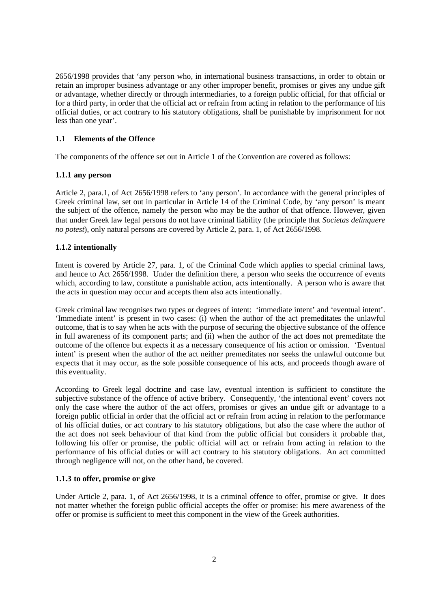2656/1998 provides that 'any person who, in international business transactions, in order to obtain or retain an improper business advantage or any other improper benefit, promises or gives any undue gift or advantage, whether directly or through intermediaries, to a foreign public official, for that official or for a third party, in order that the official act or refrain from acting in relation to the performance of his official duties, or act contrary to his statutory obligations, shall be punishable by imprisonment for not less than one year'.

# **1.1 Elements of the Offence**

The components of the offence set out in Article 1 of the Convention are covered as follows:

### **1.1.1 any person**

Article 2, para.1, of Act 2656/1998 refers to 'any person'. In accordance with the general principles of Greek criminal law, set out in particular in Article 14 of the Criminal Code, by 'any person' is meant the subject of the offence, namely the person who may be the author of that offence. However, given that under Greek law legal persons do not have criminal liability (the principle that *Societas delinquere no potest*), only natural persons are covered by Article 2, para. 1, of Act 2656/1998.

### **1.1.2 intentionally**

Intent is covered by Article 27, para. 1, of the Criminal Code which applies to special criminal laws, and hence to Act 2656/1998. Under the definition there, a person who seeks the occurrence of events which, according to law, constitute a punishable action, acts intentionally. A person who is aware that the acts in question may occur and accepts them also acts intentionally.

Greek criminal law recognises two types or degrees of intent: 'immediate intent' and 'eventual intent'. 'Immediate intent' is present in two cases: (i) when the author of the act premeditates the unlawful outcome, that is to say when he acts with the purpose of securing the objective substance of the offence in full awareness of its component parts; and (ii) when the author of the act does not premeditate the outcome of the offence but expects it as a necessary consequence of his action or omission. 'Eventual intent' is present when the author of the act neither premeditates nor seeks the unlawful outcome but expects that it may occur, as the sole possible consequence of his acts, and proceeds though aware of this eventuality.

According to Greek legal doctrine and case law, eventual intention is sufficient to constitute the subjective substance of the offence of active bribery. Consequently, 'the intentional event' covers not only the case where the author of the act offers, promises or gives an undue gift or advantage to a foreign public official in order that the official act or refrain from acting in relation to the performance of his official duties, or act contrary to his statutory obligations, but also the case where the author of the act does not seek behaviour of that kind from the public official but considers it probable that, following his offer or promise, the public official will act or refrain from acting in relation to the performance of his official duties or will act contrary to his statutory obligations. An act committed through negligence will not, on the other hand, be covered.

#### **1.1.3 to offer, promise or give**

Under Article 2, para. 1, of Act 2656/1998, it is a criminal offence to offer, promise or give. It does not matter whether the foreign public official accepts the offer or promise: his mere awareness of the offer or promise is sufficient to meet this component in the view of the Greek authorities.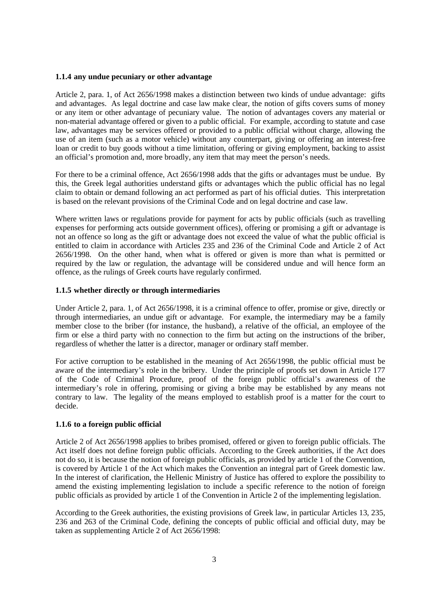#### **1.1.4 any undue pecuniary or other advantage**

Article 2, para. 1, of Act 2656/1998 makes a distinction between two kinds of undue advantage: gifts and advantages. As legal doctrine and case law make clear, the notion of gifts covers sums of money or any item or other advantage of pecuniary value. The notion of advantages covers any material or non-material advantage offered or given to a public official. For example, according to statute and case law, advantages may be services offered or provided to a public official without charge, allowing the use of an item (such as a motor vehicle) without any counterpart, giving or offering an interest-free loan or credit to buy goods without a time limitation, offering or giving employment, backing to assist an official's promotion and, more broadly, any item that may meet the person's needs.

For there to be a criminal offence, Act 2656/1998 adds that the gifts or advantages must be undue. By this, the Greek legal authorities understand gifts or advantages which the public official has no legal claim to obtain or demand following an act performed as part of his official duties. This interpretation is based on the relevant provisions of the Criminal Code and on legal doctrine and case law.

Where written laws or regulations provide for payment for acts by public officials (such as travelling expenses for performing acts outside government offices), offering or promising a gift or advantage is not an offence so long as the gift or advantage does not exceed the value of what the public official is entitled to claim in accordance with Articles 235 and 236 of the Criminal Code and Article 2 of Act 2656/1998. On the other hand, when what is offered or given is more than what is permitted or required by the law or regulation, the advantage will be considered undue and will hence form an offence, as the rulings of Greek courts have regularly confirmed.

#### **1.1.5 whether directly or through intermediaries**

Under Article 2, para. 1, of Act 2656/1998, it is a criminal offence to offer, promise or give, directly or through intermediaries, an undue gift or advantage. For example, the intermediary may be a family member close to the briber (for instance, the husband), a relative of the official, an employee of the firm or else a third party with no connection to the firm but acting on the instructions of the briber, regardless of whether the latter is a director, manager or ordinary staff member.

For active corruption to be established in the meaning of Act 2656/1998, the public official must be aware of the intermediary's role in the bribery. Under the principle of proofs set down in Article 177 of the Code of Criminal Procedure, proof of the foreign public official's awareness of the intermediary's role in offering, promising or giving a bribe may be established by any means not contrary to law. The legality of the means employed to establish proof is a matter for the court to decide.

### **1.1.6 to a foreign public official**

Article 2 of Act 2656/1998 applies to bribes promised, offered or given to foreign public officials. The Act itself does not define foreign public officials. According to the Greek authorities, if the Act does not do so, it is because the notion of foreign public officials, as provided by article 1 of the Convention, is covered by Article 1 of the Act which makes the Convention an integral part of Greek domestic law. In the interest of clarification, the Hellenic Ministry of Justice has offered to explore the possibility to amend the existing implementing legislation to include a specific reference to the notion of foreign public officials as provided by article 1 of the Convention in Article 2 of the implementing legislation.

According to the Greek authorities, the existing provisions of Greek law, in particular Articles 13, 235, 236 and 263 of the Criminal Code, defining the concepts of public official and official duty, may be taken as supplementing Article 2 of Act 2656/1998: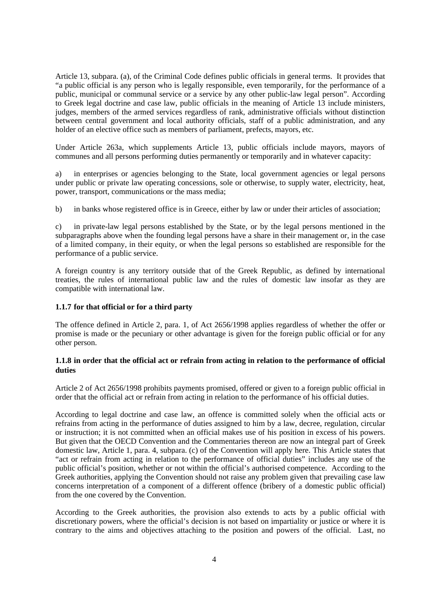Article 13, subpara. (a), of the Criminal Code defines public officials in general terms. It provides that "a public official is any person who is legally responsible, even temporarily, for the performance of a public, municipal or communal service or a service by any other public-law legal person". According to Greek legal doctrine and case law, public officials in the meaning of Article 13 include ministers, judges, members of the armed services regardless of rank, administrative officials without distinction between central government and local authority officials, staff of a public administration, and any holder of an elective office such as members of parliament, prefects, mayors, etc.

Under Article 263a, which supplements Article 13, public officials include mayors, mayors of communes and all persons performing duties permanently or temporarily and in whatever capacity:

a) in enterprises or agencies belonging to the State, local government agencies or legal persons under public or private law operating concessions, sole or otherwise, to supply water, electricity, heat, power, transport, communications or the mass media;

b) in banks whose registered office is in Greece, either by law or under their articles of association;

c) in private-law legal persons established by the State, or by the legal persons mentioned in the subparagraphs above when the founding legal persons have a share in their management or, in the case of a limited company, in their equity, or when the legal persons so established are responsible for the performance of a public service.

A foreign country is any territory outside that of the Greek Republic, as defined by international treaties, the rules of international public law and the rules of domestic law insofar as they are compatible with international law.

#### **1.1.7 for that official or for a third party**

The offence defined in Article 2, para. 1, of Act 2656/1998 applies regardless of whether the offer or promise is made or the pecuniary or other advantage is given for the foreign public official or for any other person.

### **1.1.8 in order that the official act or refrain from acting in relation to the performance of official duties**

Article 2 of Act 2656/1998 prohibits payments promised, offered or given to a foreign public official in order that the official act or refrain from acting in relation to the performance of his official duties.

According to legal doctrine and case law, an offence is committed solely when the official acts or refrains from acting in the performance of duties assigned to him by a law, decree, regulation, circular or instruction; it is not committed when an official makes use of his position in excess of his powers. But given that the OECD Convention and the Commentaries thereon are now an integral part of Greek domestic law, Article 1, para. 4, subpara. (c) of the Convention will apply here. This Article states that "act or refrain from acting in relation to the performance of official duties" includes any use of the public official's position, whether or not within the official's authorised competence. According to the Greek authorities, applying the Convention should not raise any problem given that prevailing case law concerns interpretation of a component of a different offence (bribery of a domestic public official) from the one covered by the Convention.

According to the Greek authorities, the provision also extends to acts by a public official with discretionary powers, where the official's decision is not based on impartiality or justice or where it is contrary to the aims and objectives attaching to the position and powers of the official. Last, no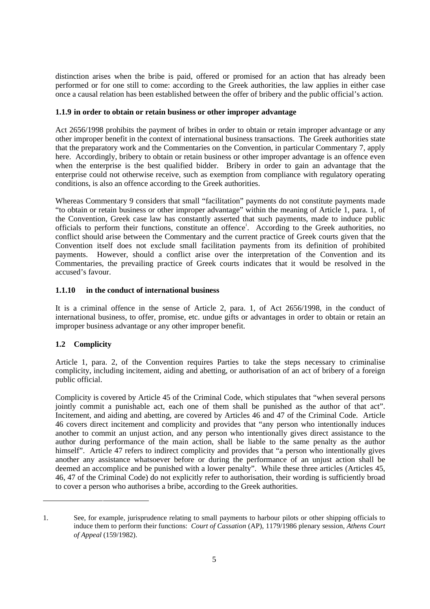distinction arises when the bribe is paid, offered or promised for an action that has already been performed or for one still to come: according to the Greek authorities, the law applies in either case once a causal relation has been established between the offer of bribery and the public official's action.

### **1.1.9 in order to obtain or retain business or other improper advantage**

Act 2656/1998 prohibits the payment of bribes in order to obtain or retain improper advantage or any other improper benefit in the context of international business transactions. The Greek authorities state that the preparatory work and the Commentaries on the Convention, in particular Commentary 7, apply here. Accordingly, bribery to obtain or retain business or other improper advantage is an offence even when the enterprise is the best qualified bidder. Bribery in order to gain an advantage that the enterprise could not otherwise receive, such as exemption from compliance with regulatory operating conditions, is also an offence according to the Greek authorities.

Whereas Commentary 9 considers that small "facilitation" payments do not constitute payments made "to obtain or retain business or other improper advantage" within the meaning of Article 1, para. 1, of the Convention, Greek case law has constantly asserted that such payments, made to induce public officials to perform their functions, constitute an offence<sup>1</sup>. According to the Greek authorities, no conflict should arise between the Commentary and the current practice of Greek courts given that the Convention itself does not exclude small facilitation payments from its definition of prohibited payments. However, should a conflict arise over the interpretation of the Convention and its Commentaries, the prevailing practice of Greek courts indicates that it would be resolved in the accused's favour.

#### **1.1.10 in the conduct of international business**

It is a criminal offence in the sense of Article 2, para. 1, of Act 2656/1998, in the conduct of international business, to offer, promise, etc. undue gifts or advantages in order to obtain or retain an improper business advantage or any other improper benefit.

### **1.2 Complicity**

-

Article 1, para. 2, of the Convention requires Parties to take the steps necessary to criminalise complicity, including incitement, aiding and abetting, or authorisation of an act of bribery of a foreign public official.

Complicity is covered by Article 45 of the Criminal Code, which stipulates that "when several persons jointly commit a punishable act, each one of them shall be punished as the author of that act". Incitement, and aiding and abetting, are covered by Articles 46 and 47 of the Criminal Code. Article 46 covers direct incitement and complicity and provides that "any person who intentionally induces another to commit an unjust action, and any person who intentionally gives direct assistance to the author during performance of the main action, shall be liable to the same penalty as the author himself". Article 47 refers to indirect complicity and provides that "a person who intentionally gives another any assistance whatsoever before or during the performance of an unjust action shall be deemed an accomplice and be punished with a lower penalty". While these three articles (Articles 45, 46, 47 of the Criminal Code) do not explicitly refer to authorisation, their wording is sufficiently broad to cover a person who authorises a bribe, according to the Greek authorities.

<sup>1.</sup> See, for example, jurisprudence relating to small payments to harbour pilots or other shipping officials to induce them to perform their functions: *Court of Cassation* (AP), 1179/1986 plenary session, *Athens Court of Appeal* (159/1982).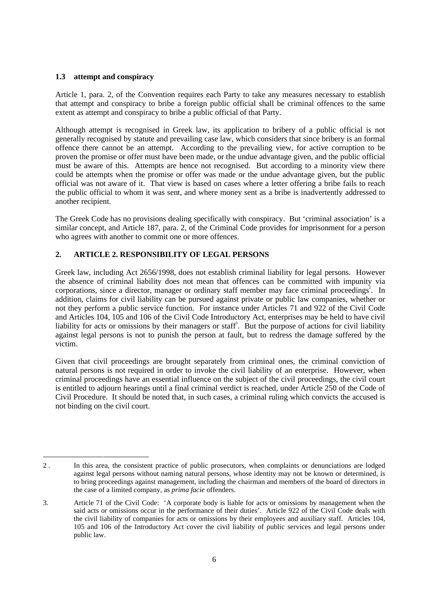#### **1.3 attempt and conspiracy**

Article 1, para. 2, of the Convention requires each Party to take any measures necessary to establish that attempt and conspiracy to bribe a foreign public official shall be criminal offences to the same extent as attempt and conspiracy to bribe a public official of that Party.

Although attempt is recognised in Greek law, its application to bribery of a public official is not generally recognised by statute and prevailing case law, which considers that since bribery is an formal offence there cannot be an attempt. According to the prevailing view, for active corruption to be proven the promise or offer must have been made, or the undue advantage given, and the public official must be aware of this. Attempts are hence not recognised. But according to a minority view there could be attempts when the promise or offer was made or the undue advantage given, but the public official was not aware of it. That view is based on cases where a letter offering a bribe fails to reach the public official to whom it was sent, and where money sent as a bribe is inadvertently addressed to another recipient.

The Greek Code has no provisions dealing specifically with conspiracy. But 'criminal association' is a similar concept, and Article 187, para. 2, of the Criminal Code provides for imprisonment for a person who agrees with another to commit one or more offences.

# **2. ARTICLE 2. RESPONSIBILITY OF LEGAL PERSONS**

Greek law, including Act 2656/1998, does not establish criminal liability for legal persons. However the absence of criminal liability does not mean that offences can be committed with impunity via corporations, since a director, manager or ordinary staff member may face criminal proceedings<sup>2</sup>. In addition, claims for civil liability can be pursued against private or public law companies, whether or not they perform a public service function. For instance under Articles 71 and 922 of the Civil Code and Articles 104, 105 and 106 of the Civil Code Introductory Act, enterprises may be held to have civil liability for acts or omissions by their managers or staff<sup>3</sup>. But the purpose of actions for civil liability against legal persons is not to punish the person at fault, but to redress the damage suffered by the victim.

Given that civil proceedings are brought separately from criminal ones, the criminal conviction of natural persons is not required in order to invoke the civil liability of an enterprise. However, when criminal proceedings have an essential influence on the subject of the civil proceedings, the civil court is entitled to adjourn hearings until a final criminal verdict is reached, under Article 250 of the Code of Civil Procedure. It should be noted that, in such cases, a criminal ruling which convicts the accused is not binding on the civil court.

<sup>-</sup>2 . In this area, the consistent practice of public prosecutors, when complaints or denunciations are lodged against legal persons without naming natural persons, whose identity may not be known or determined, is to bring proceedings against management, including the chairman and members of the board of directors in the case of a limited company, as *prima facie* offenders.

<sup>3.</sup> Article 71 of the Civil Code: 'A corporate body is liable for acts or omissions by management when the said acts or omissions occur in the performance of their duties'. Article 922 of the Civil Code deals with the civil liability of companies for acts or omissions by their employees and auxiliary staff. Articles 104, 105 and 106 of the Introductory Act cover the civil liability of public services and legal persons under public law.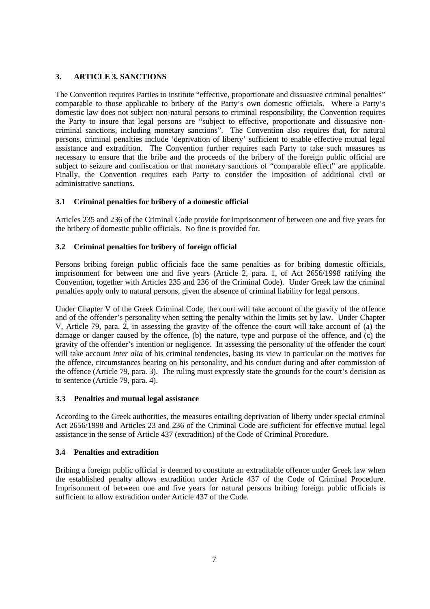# **3. ARTICLE 3. SANCTIONS**

The Convention requires Parties to institute "effective, proportionate and dissuasive criminal penalties" comparable to those applicable to bribery of the Party's own domestic officials. Where a Party's domestic law does not subject non-natural persons to criminal responsibility, the Convention requires the Party to insure that legal persons are "subject to effective, proportionate and dissuasive noncriminal sanctions, including monetary sanctions". The Convention also requires that, for natural persons, criminal penalties include 'deprivation of liberty' sufficient to enable effective mutual legal assistance and extradition. The Convention further requires each Party to take such measures as necessary to ensure that the bribe and the proceeds of the bribery of the foreign public official are subject to seizure and confiscation or that monetary sanctions of "comparable effect" are applicable. Finally, the Convention requires each Party to consider the imposition of additional civil or administrative sanctions.

# **3.1 Criminal penalties for bribery of a domestic official**

Articles 235 and 236 of the Criminal Code provide for imprisonment of between one and five years for the bribery of domestic public officials. No fine is provided for.

# **3.2 Criminal penalties for bribery of foreign official**

Persons bribing foreign public officials face the same penalties as for bribing domestic officials, imprisonment for between one and five years (Article 2, para. 1, of Act 2656/1998 ratifying the Convention, together with Articles 235 and 236 of the Criminal Code). Under Greek law the criminal penalties apply only to natural persons, given the absence of criminal liability for legal persons.

Under Chapter V of the Greek Criminal Code, the court will take account of the gravity of the offence and of the offender's personality when setting the penalty within the limits set by law. Under Chapter V, Article 79, para. 2, in assessing the gravity of the offence the court will take account of (a) the damage or danger caused by the offence, (b) the nature, type and purpose of the offence, and (c) the gravity of the offender's intention or negligence. In assessing the personality of the offender the court will take account *inter alia* of his criminal tendencies, basing its view in particular on the motives for the offence, circumstances bearing on his personality, and his conduct during and after commission of the offence (Article 79, para. 3). The ruling must expressly state the grounds for the court's decision as to sentence (Article 79, para. 4).

### **3.3 Penalties and mutual legal assistance**

According to the Greek authorities, the measures entailing deprivation of liberty under special criminal Act 2656/1998 and Articles 23 and 236 of the Criminal Code are sufficient for effective mutual legal assistance in the sense of Article 437 (extradition) of the Code of Criminal Procedure.

# **3.4 Penalties and extradition**

Bribing a foreign public official is deemed to constitute an extraditable offence under Greek law when the established penalty allows extradition under Article 437 of the Code of Criminal Procedure. Imprisonment of between one and five years for natural persons bribing foreign public officials is sufficient to allow extradition under Article 437 of the Code.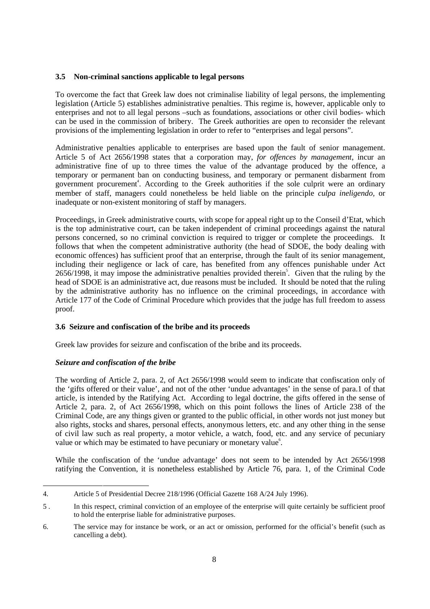### **3.5 Non-criminal sanctions applicable to legal persons**

To overcome the fact that Greek law does not criminalise liability of legal persons, the implementing legislation (Article 5) establishes administrative penalties. This regime is, however, applicable only to enterprises and not to all legal persons –such as foundations, associations or other civil bodies- which can be used in the commission of bribery. The Greek authorities are open to reconsider the relevant provisions of the implementing legislation in order to refer to "enterprises and legal persons".

Administrative penalties applicable to enterprises are based upon the fault of senior management. Article 5 of Act 2656/1998 states that a corporation may, *for offences by management*, incur an administrative fine of up to three times the value of the advantage produced by the offence, a temporary or permanent ban on conducting business, and temporary or permanent disbarment from government procurement<sup>4</sup>. According to the Greek authorities if the sole culprit were an ordinary member of staff, managers could nonetheless be held liable on the principle *culpa ineligendo,* or inadequate or non-existent monitoring of staff by managers.

Proceedings, in Greek administrative courts, with scope for appeal right up to the Conseil d'Etat, which is the top administrative court, can be taken independent of criminal proceedings against the natural persons concerned, so no criminal conviction is required to trigger or complete the proceedings. It follows that when the competent administrative authority (the head of SDOE, the body dealing with economic offences) has sufficient proof that an enterprise, through the fault of its senior management, including their negligence or lack of care, has benefited from any offences punishable under Act 2656/1998, it may impose the administrative penalties provided therein<sup>5</sup>. Given that the ruling by the head of SDOE is an administrative act, due reasons must be included. It should be noted that the ruling by the administrative authority has no influence on the criminal proceedings, in accordance with Article 177 of the Code of Criminal Procedure which provides that the judge has full freedom to assess proof.

# **3.6 Seizure and confiscation of the bribe and its proceeds**

Greek law provides for seizure and confiscation of the bribe and its proceeds.

# *Seizure and confiscation of the bribe*

The wording of Article 2, para. 2, of Act 2656/1998 would seem to indicate that confiscation only of the 'gifts offered or their value', and not of the other 'undue advantages' in the sense of para.1 of that article, is intended by the Ratifying Act. According to legal doctrine, the gifts offered in the sense of Article 2, para. 2, of Act 2656/1998, which on this point follows the lines of Article 238 of the Criminal Code, are any things given or granted to the public official, in other words not just money but also rights, stocks and shares, personal effects, anonymous letters, etc. and any other thing in the sense of civil law such as real property, a motor vehicle, a watch, food, etc. and any service of pecuniary value or which may be estimated to have pecuniary or monetary value<sup>6</sup>.

While the confiscation of the 'undue advantage' does not seem to be intended by Act 2656/1998 ratifying the Convention, it is nonetheless established by Article 76, para. 1, of the Criminal Code

<sup>-</sup>4. Article 5 of Presidential Decree 218/1996 (Official Gazette 168 A/24 July 1996).

<sup>5 .</sup> In this respect, criminal conviction of an employee of the enterprise will quite certainly be sufficient proof to hold the enterprise liable for administrative purposes.

<sup>6.</sup> The service may for instance be work, or an act or omission, performed for the official's benefit (such as cancelling a debt).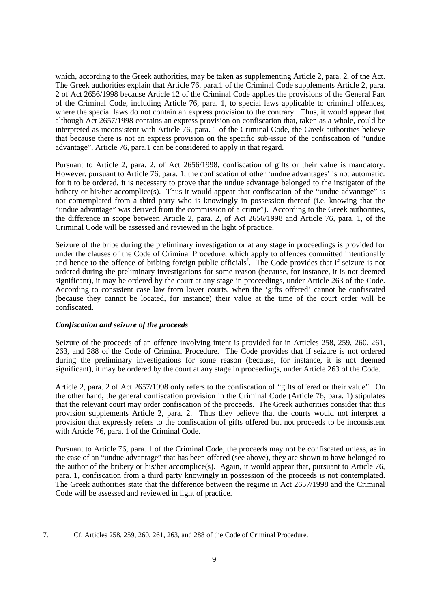which, according to the Greek authorities, may be taken as supplementing Article 2, para. 2, of the Act. The Greek authorities explain that Article 76, para.1 of the Criminal Code supplements Article 2, para. 2 of Act 2656/1998 because Article 12 of the Criminal Code applies the provisions of the General Part of the Criminal Code, including Article 76, para. 1, to special laws applicable to criminal offences, where the special laws do not contain an express provision to the contrary. Thus, it would appear that although Act 2657/1998 contains an express provision on confiscation that, taken as a whole, could be interpreted as inconsistent with Article 76, para. 1 of the Criminal Code, the Greek authorities believe that because there is not an express provision on the specific sub-issue of the confiscation of "undue advantage", Article 76, para.1 can be considered to apply in that regard.

Pursuant to Article 2, para. 2, of Act 2656/1998, confiscation of gifts or their value is mandatory. However, pursuant to Article 76, para. 1, the confiscation of other 'undue advantages' is not automatic: for it to be ordered, it is necessary to prove that the undue advantage belonged to the instigator of the bribery or his/her accomplice(s). Thus it would appear that confiscation of the "undue advantage" is not contemplated from a third party who is knowingly in possession thereof (i.e. knowing that the "undue advantage" was derived from the commission of a crime"). According to the Greek authorities, the difference in scope between Article 2, para. 2, of Act 2656/1998 and Article 76, para. 1, of the Criminal Code will be assessed and reviewed in the light of practice.

Seizure of the bribe during the preliminary investigation or at any stage in proceedings is provided for under the clauses of the Code of Criminal Procedure, which apply to offences committed intentionally and hence to the offence of bribing foreign public officials<sup>7</sup>. The Code provides that if seizure is not ordered during the preliminary investigations for some reason (because, for instance, it is not deemed significant), it may be ordered by the court at any stage in proceedings, under Article 263 of the Code. According to consistent case law from lower courts, when the 'gifts offered' cannot be confiscated (because they cannot be located, for instance) their value at the time of the court order will be confiscated.

### *Confiscation and seizure of the proceeds*

Seizure of the proceeds of an offence involving intent is provided for in Articles 258, 259, 260, 261, 263, and 288 of the Code of Criminal Procedure. The Code provides that if seizure is not ordered during the preliminary investigations for some reason (because, for instance, it is not deemed significant), it may be ordered by the court at any stage in proceedings, under Article 263 of the Code.

Article 2, para. 2 of Act 2657/1998 only refers to the confiscation of "gifts offered or their value". On the other hand, the general confiscation provision in the Criminal Code (Article 76, para. 1) stipulates that the relevant court may order confiscation of the proceeds. The Greek authorities consider that this provision supplements Article 2, para. 2. Thus they believe that the courts would not interpret a provision that expressly refers to the confiscation of gifts offered but not proceeds to be inconsistent with Article 76, para. 1 of the Criminal Code.

Pursuant to Article 76, para. 1 of the Criminal Code, the proceeds may not be confiscated unless, as in the case of an "undue advantage" that has been offered (see above), they are shown to have belonged to the author of the bribery or his/her accomplice(s). Again, it would appear that, pursuant to Article 76, para. 1, confiscation from a third party knowingly in possession of the proceeds is not contemplated. The Greek authorities state that the difference between the regime in Act 2657/1998 and the Criminal Code will be assessed and reviewed in light of practice.

<sup>1</sup> 

<sup>7.</sup> Cf. Articles 258, 259, 260, 261, 263, and 288 of the Code of Criminal Procedure.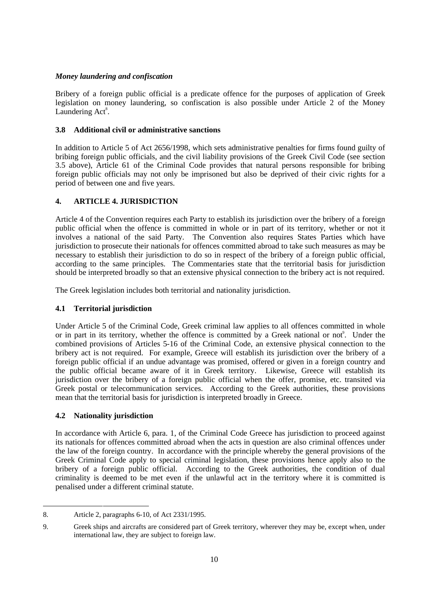### *Money laundering and confiscation*

Bribery of a foreign public official is a predicate offence for the purposes of application of Greek legislation on money laundering, so confiscation is also possible under Article 2 of the Money Laundering Act<sup>8</sup>.

### **3.8 Additional civil or administrative sanctions**

In addition to Article 5 of Act 2656/1998, which sets administrative penalties for firms found guilty of bribing foreign public officials, and the civil liability provisions of the Greek Civil Code (see section 3.5 above), Article 61 of the Criminal Code provides that natural persons responsible for bribing foreign public officials may not only be imprisoned but also be deprived of their civic rights for a period of between one and five years.

# **4. ARTICLE 4. JURISDICTION**

Article 4 of the Convention requires each Party to establish its jurisdiction over the bribery of a foreign public official when the offence is committed in whole or in part of its territory, whether or not it involves a national of the said Party. The Convention also requires States Parties which have jurisdiction to prosecute their nationals for offences committed abroad to take such measures as may be necessary to establish their jurisdiction to do so in respect of the bribery of a foreign public official, according to the same principles. The Commentaries state that the territorial basis for jurisdiction should be interpreted broadly so that an extensive physical connection to the bribery act is not required.

The Greek legislation includes both territorial and nationality jurisdiction.

# **4.1 Territorial jurisdiction**

Under Article 5 of the Criminal Code, Greek criminal law applies to all offences committed in whole or in part in its territory, whether the offence is committed by a Greek national or not. Under the combined provisions of Articles 5-16 of the Criminal Code, an extensive physical connection to the bribery act is not required. For example, Greece will establish its jurisdiction over the bribery of a foreign public official if an undue advantage was promised, offered or given in a foreign country and the public official became aware of it in Greek territory. Likewise, Greece will establish its jurisdiction over the bribery of a foreign public official when the offer, promise, etc. transited via Greek postal or telecommunication services. According to the Greek authorities, these provisions mean that the territorial basis for jurisdiction is interpreted broadly in Greece.

### **4.2 Nationality jurisdiction**

In accordance with Article 6, para. 1, of the Criminal Code Greece has jurisdiction to proceed against its nationals for offences committed abroad when the acts in question are also criminal offences under the law of the foreign country. In accordance with the principle whereby the general provisions of the Greek Criminal Code apply to special criminal legislation, these provisions hence apply also to the bribery of a foreign public official. According to the Greek authorities, the condition of dual criminality is deemed to be met even if the unlawful act in the territory where it is committed is penalised under a different criminal statute.

<sup>-</sup>8. Article 2, paragraphs 6-10, of Act 2331/1995.

<sup>9.</sup> Greek ships and aircrafts are considered part of Greek territory, wherever they may be, except when, under international law, they are subject to foreign law.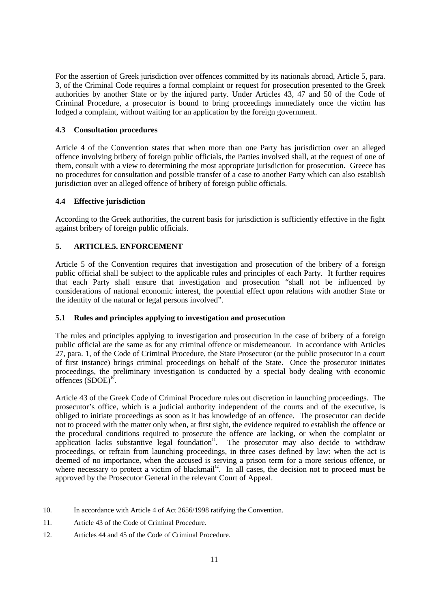For the assertion of Greek jurisdiction over offences committed by its nationals abroad, Article 5, para. 3, of the Criminal Code requires a formal complaint or request for prosecution presented to the Greek authorities by another State or by the injured party. Under Articles 43, 47 and 50 of the Code of Criminal Procedure, a prosecutor is bound to bring proceedings immediately once the victim has lodged a complaint, without waiting for an application by the foreign government.

# **4.3 Consultation procedures**

Article 4 of the Convention states that when more than one Party has jurisdiction over an alleged offence involving bribery of foreign public officials, the Parties involved shall, at the request of one of them, consult with a view to determining the most appropriate jurisdiction for prosecution. Greece has no procedures for consultation and possible transfer of a case to another Party which can also establish jurisdiction over an alleged offence of bribery of foreign public officials.

# **4.4 Effective jurisdiction**

According to the Greek authorities, the current basis for jurisdiction is sufficiently effective in the fight against bribery of foreign public officials.

# **5. ARTICLE.5. ENFORCEMENT**

Article 5 of the Convention requires that investigation and prosecution of the bribery of a foreign public official shall be subject to the applicable rules and principles of each Party. It further requires that each Party shall ensure that investigation and prosecution "shall not be influenced by considerations of national economic interest, the potential effect upon relations with another State or the identity of the natural or legal persons involved".

### **5.1 Rules and principles applying to investigation and prosecution**

The rules and principles applying to investigation and prosecution in the case of bribery of a foreign public official are the same as for any criminal offence or misdemeanour. In accordance with Articles 27, para. 1, of the Code of Criminal Procedure, the State Prosecutor (or the public prosecutor in a court of first instance) brings criminal proceedings on behalf of the State. Once the prosecutor initiates proceedings, the preliminary investigation is conducted by a special body dealing with economic offences  $(SDOE)^{10}$ .

Article 43 of the Greek Code of Criminal Procedure rules out discretion in launching proceedings. The prosecutor's office, which is a judicial authority independent of the courts and of the executive, is obliged to initiate proceedings as soon as it has knowledge of an offence. The prosecutor can decide not to proceed with the matter only when, at first sight, the evidence required to establish the offence or the procedural conditions required to prosecute the offence are lacking, or when the complaint or application lacks substantive legal foundation<sup>11</sup>. The prosecutor may also decide to withdraw proceedings, or refrain from launching proceedings, in three cases defined by law: when the act is deemed of no importance, when the accused is serving a prison term for a more serious offence, or where necessary to protect a victim of blackmail<sup>12</sup>. In all cases, the decision not to proceed must be approved by the Prosecutor General in the relevant Court of Appeal.

<sup>1</sup> 10. In accordance with Article 4 of Act 2656/1998 ratifying the Convention.

<sup>11.</sup> Article 43 of the Code of Criminal Procedure.

<sup>12.</sup> Articles 44 and 45 of the Code of Criminal Procedure.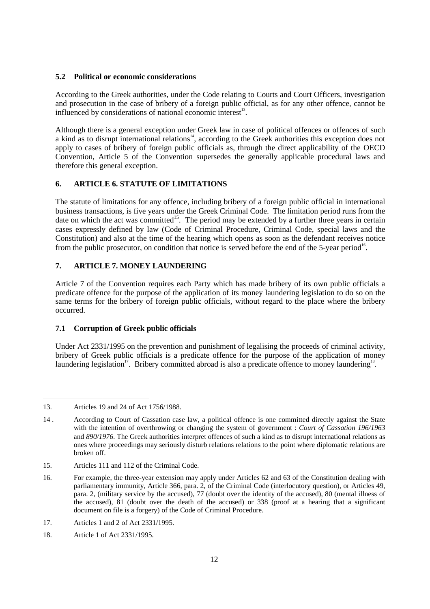### **5.2 Political or economic considerations**

According to the Greek authorities, under the Code relating to Courts and Court Officers, investigation and prosecution in the case of bribery of a foreign public official, as for any other offence, cannot be influenced by considerations of national economic interest<sup>13</sup>.

Although there is a general exception under Greek law in case of political offences or offences of such a kind as to disrupt international relations<sup>14</sup>, according to the Greek authorities this exception does not apply to cases of bribery of foreign public officials as, through the direct applicability of the OECD Convention, Article 5 of the Convention supersedes the generally applicable procedural laws and therefore this general exception.

# **6. ARTICLE 6. STATUTE OF LIMITATIONS**

The statute of limitations for any offence, including bribery of a foreign public official in international business transactions, is five years under the Greek Criminal Code. The limitation period runs from the date on which the act was committed<sup>15</sup>. The period may be extended by a further three years in certain cases expressly defined by law (Code of Criminal Procedure, Criminal Code, special laws and the Constitution) and also at the time of the hearing which opens as soon as the defendant receives notice from the public prosecutor, on condition that notice is served before the end of the 5-year period<sup>16</sup>.

# **7. ARTICLE 7. MONEY LAUNDERING**

Article 7 of the Convention requires each Party which has made bribery of its own public officials a predicate offence for the purpose of the application of its money laundering legislation to do so on the same terms for the bribery of foreign public officials, without regard to the place where the bribery occurred.

### **7.1 Corruption of Greek public officials**

Under Act 2331/1995 on the prevention and punishment of legalising the proceeds of criminal activity, bribery of Greek public officials is a predicate offence for the purpose of the application of money laundering legislation<sup>17</sup>. Bribery committed abroad is also a predicate offence to money laundering<sup>18</sup>.

15. Articles 111 and 112 of the Criminal Code.

<sup>1</sup> 13. Articles 19 and 24 of Act 1756/1988.

<sup>14 .</sup> According to Court of Cassation case law, a political offence is one committed directly against the State with the intention of overthrowing or changing the system of government : *Court of Cassation 196/1963* and *890/1976*. The Greek authorities interpret offences of such a kind as to disrupt international relations as ones where proceedings may seriously disturb relations relations to the point where diplomatic relations are broken off.

<sup>16.</sup> For example, the three-year extension may apply under Articles 62 and 63 of the Constitution dealing with parliamentary immunity, Article 366, para. 2, of the Criminal Code (interlocutory question), or Articles 49, para. 2, (military service by the accused), 77 (doubt over the identity of the accused), 80 (mental illness of the accused), 81 (doubt over the death of the accused) or 338 (proof at a hearing that a significant document on file is a forgery) of the Code of Criminal Procedure.

<sup>17.</sup> Articles 1 and 2 of Act 2331/1995.

<sup>18.</sup> Article 1 of Act 2331/1995.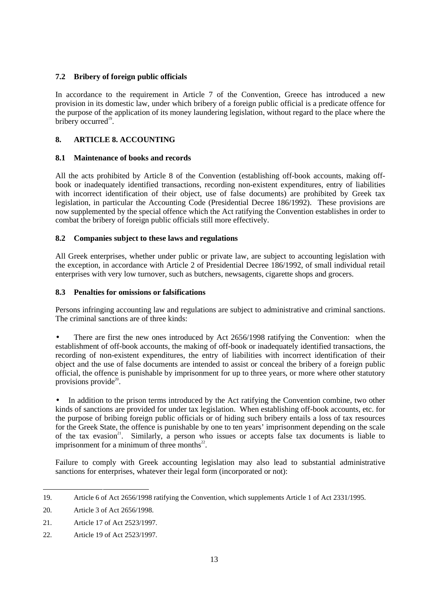# **7.2 Bribery of foreign public officials**

In accordance to the requirement in Article 7 of the Convention, Greece has introduced a new provision in its domestic law, under which bribery of a foreign public official is a predicate offence for the purpose of the application of its money laundering legislation, without regard to the place where the bribery occurred $19$ .

# **8. ARTICLE 8. ACCOUNTING**

# **8.1 Maintenance of books and records**

All the acts prohibited by Article 8 of the Convention (establishing off-book accounts, making offbook or inadequately identified transactions, recording non-existent expenditures, entry of liabilities with incorrect identification of their object, use of false documents) are prohibited by Greek tax legislation, in particular the Accounting Code (Presidential Decree 186/1992). These provisions are now supplemented by the special offence which the Act ratifying the Convention establishes in order to combat the bribery of foreign public officials still more effectively.

# **8.2 Companies subject to these laws and regulations**

All Greek enterprises, whether under public or private law, are subject to accounting legislation with the exception, in accordance with Article 2 of Presidential Decree 186/1992, of small individual retail enterprises with very low turnover, such as butchers, newsagents, cigarette shops and grocers.

### **8.3 Penalties for omissions or falsifications**

Persons infringing accounting law and regulations are subject to administrative and criminal sanctions. The criminal sanctions are of three kinds:

There are first the new ones introduced by Act 2656/1998 ratifying the Convention: when the establishment of off-book accounts, the making of off-book or inadequately identified transactions, the recording of non-existent expenditures, the entry of liabilities with incorrect identification of their object and the use of false documents are intended to assist or conceal the bribery of a foreign public official, the offence is punishable by imprisonment for up to three years, or more where other statutory provisions provide $2^{\circ}$ .

In addition to the prison terms introduced by the Act ratifying the Convention combine, two other kinds of sanctions are provided for under tax legislation. When establishing off-book accounts, etc. for the purpose of bribing foreign public officials or of hiding such bribery entails a loss of tax resources for the Greek State, the offence is punishable by one to ten years' imprisonment depending on the scale of the tax evasion<sup>21</sup>. Similarly, a person who issues or accepts false tax documents is liable to imprisonment for a minimum of three months $^{22}$ .

Failure to comply with Greek accounting legislation may also lead to substantial administrative sanctions for enterprises, whatever their legal form (incorporated or not):

<sup>1</sup> 19. Article 6 of Act 2656/1998 ratifying the Convention, which supplements Article 1 of Act 2331/1995.

<sup>20.</sup> Article 3 of Act 2656/1998.

<sup>21.</sup> Article 17 of Act 2523/1997.

<sup>22.</sup> Article 19 of Act 2523/1997.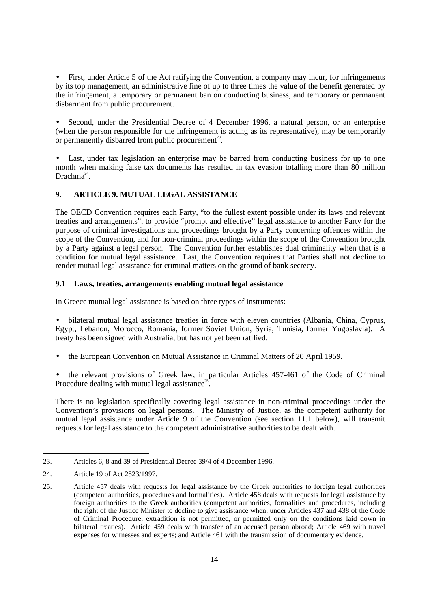• First, under Article 5 of the Act ratifying the Convention, a company may incur, for infringements by its top management, an administrative fine of up to three times the value of the benefit generated by the infringement, a temporary or permanent ban on conducting business, and temporary or permanent disbarment from public procurement.

• Second, under the Presidential Decree of 4 December 1996, a natural person, or an enterprise (when the person responsible for the infringement is acting as its representative), may be temporarily or permanently disbarred from public procurement<sup>23</sup>.

• Last, under tax legislation an enterprise may be barred from conducting business for up to one month when making false tax documents has resulted in tax evasion totalling more than 80 million  $Drachma<sup>24</sup>$ .

# **9. ARTICLE 9. MUTUAL LEGAL ASSISTANCE**

The OECD Convention requires each Party, "to the fullest extent possible under its laws and relevant treaties and arrangements", to provide "prompt and effective" legal assistance to another Party for the purpose of criminal investigations and proceedings brought by a Party concerning offences within the scope of the Convention, and for non-criminal proceedings within the scope of the Convention brought by a Party against a legal person. The Convention further establishes dual criminality when that is a condition for mutual legal assistance. Last, the Convention requires that Parties shall not decline to render mutual legal assistance for criminal matters on the ground of bank secrecy.

### **9.1 Laws, treaties, arrangements enabling mutual legal assistance**

In Greece mutual legal assistance is based on three types of instruments:

• bilateral mutual legal assistance treaties in force with eleven countries (Albania, China, Cyprus, Egypt, Lebanon, Morocco, Romania, former Soviet Union, Syria, Tunisia, former Yugoslavia). A treaty has been signed with Australia, but has not yet been ratified.

• the European Convention on Mutual Assistance in Criminal Matters of 20 April 1959.

• the relevant provisions of Greek law, in particular Articles 457-461 of the Code of Criminal Procedure dealing with mutual legal assistance<sup>25</sup>.

There is no legislation specifically covering legal assistance in non-criminal proceedings under the Convention's provisions on legal persons. The Ministry of Justice, as the competent authority for mutual legal assistance under Article 9 of the Convention (see section 11.1 below), will transmit requests for legal assistance to the competent administrative authorities to be dealt with.

-

<sup>23.</sup> Articles 6, 8 and 39 of Presidential Decree 39/4 of 4 December 1996.

<sup>24.</sup> Article 19 of Act 2523/1997.

<sup>25.</sup> Article 457 deals with requests for legal assistance by the Greek authorities to foreign legal authorities (competent authorities, procedures and formalities). Article 458 deals with requests for legal assistance by foreign authorities to the Greek authorities (competent authorities, formalities and procedures, including the right of the Justice Minister to decline to give assistance when, under Articles 437 and 438 of the Code of Criminal Procedure, extradition is not permitted, or permitted only on the conditions laid down in bilateral treaties). Article 459 deals with transfer of an accused person abroad; Article 469 with travel expenses for witnesses and experts; and Article 461 with the transmission of documentary evidence.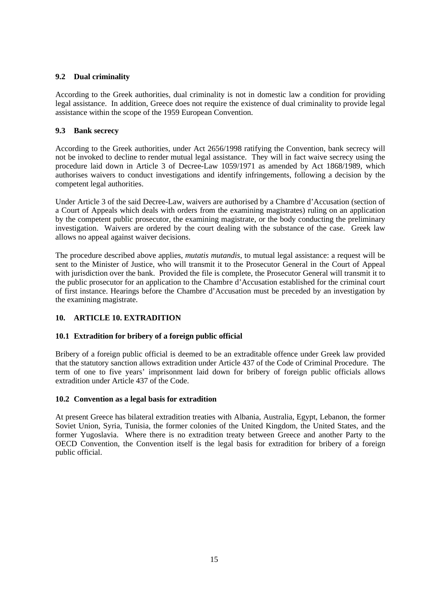# **9.2 Dual criminality**

According to the Greek authorities, dual criminality is not in domestic law a condition for providing legal assistance. In addition, Greece does not require the existence of dual criminality to provide legal assistance within the scope of the 1959 European Convention.

# **9.3 Bank secrecy**

According to the Greek authorities, under Act 2656/1998 ratifying the Convention, bank secrecy will not be invoked to decline to render mutual legal assistance. They will in fact waive secrecy using the procedure laid down in Article 3 of Decree-Law 1059/1971 as amended by Act 1868/1989, which authorises waivers to conduct investigations and identify infringements, following a decision by the competent legal authorities.

Under Article 3 of the said Decree-Law, waivers are authorised by a Chambre d'Accusation (section of a Court of Appeals which deals with orders from the examining magistrates) ruling on an application by the competent public prosecutor, the examining magistrate, or the body conducting the preliminary investigation. Waivers are ordered by the court dealing with the substance of the case. Greek law allows no appeal against waiver decisions.

The procedure described above applies, *mutatis mutandis*, to mutual legal assistance: a request will be sent to the Minister of Justice, who will transmit it to the Prosecutor General in the Court of Appeal with jurisdiction over the bank. Provided the file is complete, the Prosecutor General will transmit it to the public prosecutor for an application to the Chambre d'Accusation established for the criminal court of first instance. Hearings before the Chambre d'Accusation must be preceded by an investigation by the examining magistrate.

# **10. ARTICLE 10. EXTRADITION**

### **10.1 Extradition for bribery of a foreign public official**

Bribery of a foreign public official is deemed to be an extraditable offence under Greek law provided that the statutory sanction allows extradition under Article 437 of the Code of Criminal Procedure. The term of one to five years' imprisonment laid down for bribery of foreign public officials allows extradition under Article 437 of the Code.

### **10.2 Convention as a legal basis for extradition**

At present Greece has bilateral extradition treaties with Albania, Australia, Egypt, Lebanon, the former Soviet Union, Syria, Tunisia, the former colonies of the United Kingdom, the United States, and the former Yugoslavia. Where there is no extradition treaty between Greece and another Party to the OECD Convention, the Convention itself is the legal basis for extradition for bribery of a foreign public official.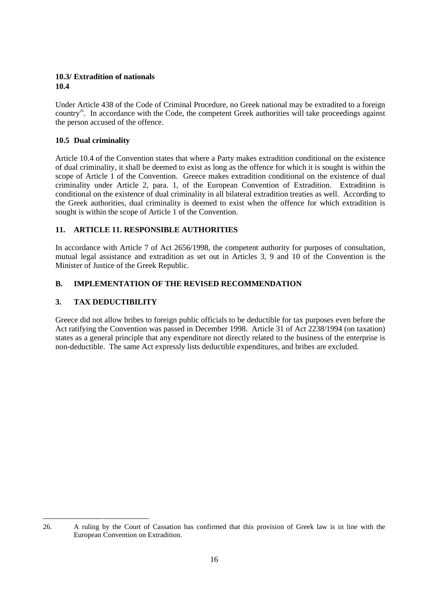### **10.3/ Extradition of nationals 10.4**

Under Article 438 of the Code of Criminal Procedure, no Greek national may be extradited to a foreign country<sup>26</sup>. In accordance with the Code, the competent Greek authorities will take proceedings against the person accused of the offence.

# **10.5 Dual criminality**

Article 10.4 of the Convention states that where a Party makes extradition conditional on the existence of dual criminality, it shall be deemed to exist as long as the offence for which it is sought is within the scope of Article 1 of the Convention. Greece makes extradition conditional on the existence of dual criminality under Article 2, para. 1, of the European Convention of Extradition. Extradition is conditional on the existence of dual criminality in all bilateral extradition treaties as well. According to the Greek authorities, dual criminality is deemed to exist when the offence for which extradition is sought is within the scope of Article 1 of the Convention.

# **11. ARTICLE 11. RESPONSIBLE AUTHORITIES**

In accordance with Article 7 of Act 2656/1998, the competent authority for purposes of consultation, mutual legal assistance and extradition as set out in Articles 3, 9 and 10 of the Convention is the Minister of Justice of the Greek Republic.

# **B. IMPLEMENTATION OF THE REVISED RECOMMENDATION**

# **3. TAX DEDUCTIBILITY**

Greece did not allow bribes to foreign public officials to be deductible for tax purposes even before the Act ratifying the Convention was passed in December 1998. Article 31 of Act 2238/1994 (on taxation) states as a general principle that any expenditure not directly related to the business of the enterprise is non-deductible. The same Act expressly lists deductible expenditures, and bribes are excluded.

<sup>-</sup>26. A ruling by the Court of Cassation has confirmed that this provision of Greek law is in line with the European Convention on Extradition.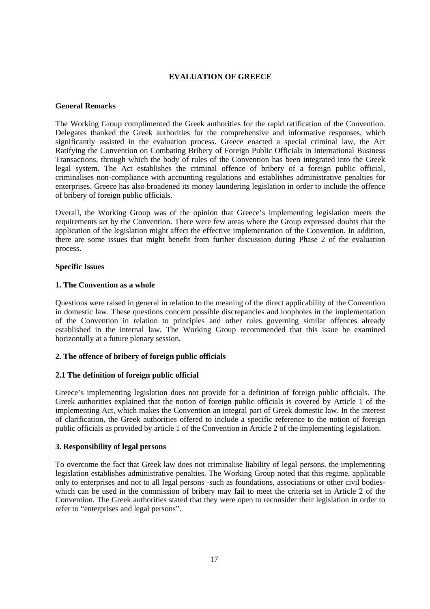### **EVALUATION OF GREECE**

#### **General Remarks**

The Working Group complimented the Greek authorities for the rapid ratification of the Convention. Delegates thanked the Greek authorities for the comprehensive and informative responses, which significantly assisted in the evaluation process. Greece enacted a special criminal law, the Act Ratifying the Convention on Combating Bribery of Foreign Public Officials in International Business Transactions, through which the body of rules of the Convention has been integrated into the Greek legal system. The Act establishes the criminal offence of bribery of a foreign public official, criminalises non-compliance with accounting regulations and establishes administrative penalties for enterprises. Greece has also broadened its money laundering legislation in order to include the offence of bribery of foreign public officials.

Overall, the Working Group was of the opinion that Greece's implementing legislation meets the requirements set by the Convention. There were few areas where the Group expressed doubts that the application of the legislation might affect the effective implementation of the Convention. In addition, there are some issues that might benefit from further discussion during Phase 2 of the evaluation process.

#### **Specific Issues**

#### **1. The Convention as a whole**

Questions were raised in general in relation to the meaning of the direct applicability of the Convention in domestic law. These questions concern possible discrepancies and loopholes in the implementation of the Convention in relation to principles and other rules governing similar offences already established in the internal law. The Working Group recommended that this issue be examined horizontally at a future plenary session.

### **2. The offence of bribery of foreign public officials**

### **2.1 The definition of foreign public official**

Greece's implementing legislation does not provide for a definition of foreign public officials. The Greek authorities explained that the notion of foreign public officials is covered by Article 1 of the implementing Act, which makes the Convention an integral part of Greek domestic law. In the interest of clarification, the Greek authorities offered to include a specific reference to the notion of foreign public officials as provided by article 1 of the Convention in Article 2 of the implementing legislation.

### **3. Responsibility of legal persons**

To overcome the fact that Greek law does not criminalise liability of legal persons, the implementing legislation establishes administrative penalties. The Working Group noted that this regime, applicable only to enterprises and not to all legal persons -such as foundations, associations or other civil bodieswhich can be used in the commission of bribery may fail to meet the criteria set in Article 2 of the Convention. The Greek authorities stated that they were open to reconsider their legislation in order to refer to "enterprises and legal persons".